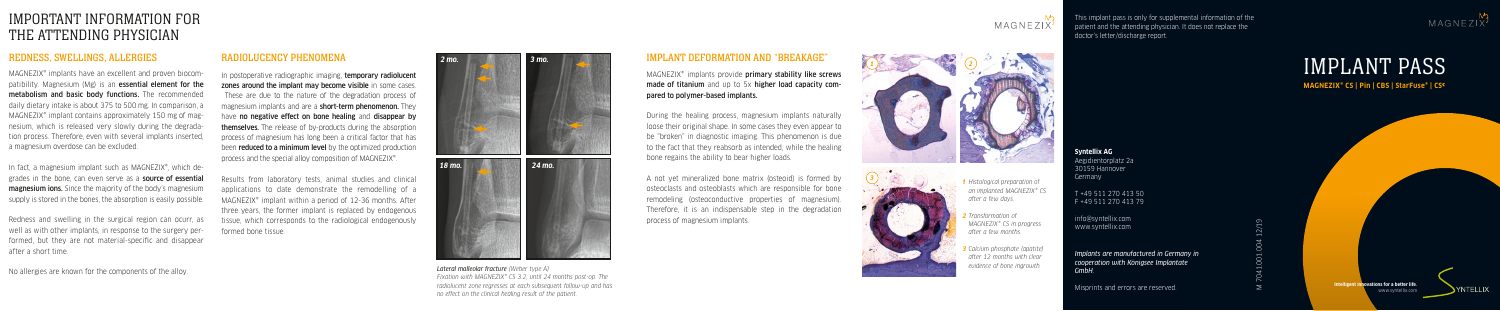### REDNESS, SWELLINGS, ALLERGIES

MAGNEZIX® implants have an excellent and proven biocompatibility. Magnesium (Mg) is an **essential element for the** metabolism and basic body functions. The recommended daily dietary intake is about 375 to 500 mg. In comparison, a MAGNEZIX® implant contains approximately 150 mg of magnesium, which is released very slowly during the degradation process. Therefore, even with several implants inserted, a magnesium overdose can be excluded.

In fact, a magnesium implant such as MAGNEZIX®, which degrades in the bone, can even serve as a source of essential **magnesium ions.** Since the majority of the body's magnesium supply is stored in the bones, the absorption is easily possible.

In postoperative radiographic imaging, temporary radiolucent zones around the implant may become visible in some cases. These are due to the nature of the degradation process of magnesium implants and are a **short-term phenomenon**. They have no negative effect on bone healing and disappear by themselves. The release of by-products during the absorption process of magnesium has long been a critical factor that has been **reduced to a minimum level** by the optimized production process and the special alloy composition of MAGNEZIX®.

Redness and swelling in the surgical region can ocurr, as well as with other implants, in response to the surgery performed, but they are not material-specific and disappear after a short time.

No allergies are known for the components of the alloy.

# IMPORTANT INFORMATION FOR THE ATTENDING PHYSICIAN

#### RADIOLUCENCY PHENOMENA

MAGNEZIX<sup>®</sup> implants provide primary stability like screws made of titanium and up to 5x higher load capacity compared to polymer-based implants.

> info@syntellix.com www.syntellix.com

Results from laboratory tests, animal studies and clinical applications to date demonstrate the remodelling of a MAGNEZIX® implant within a period of 12-36 months. After three years, the former implant is replaced by endogenous tissue, which corresponds to the radiological endogenously formed bone tissue.

> *Lateral malleolar fracture (Weber type A) Fixation with MAGNEZIX® CS 3.2, until 24 months post-op. The radiolucent zone regresses at each subsequent follow-up and has no effect on the clinical healing result of the patient.*

#### IMPLANT DEFORMATION AND "BREAKAGE"

During the healing process, magnesium implants naturally loose their original shape. In some cases they even appear to be "broken" in diagnostic imaging. This phenomenon is due to the fact that they reabsorb as intended, while the healing bone regains the ability to bear higher loads.

A not yet mineralized bone matrix (osteoid) is formed by osteoclasts and osteoblasts which are responsible for bone remodeling (osteoconductive properties of magnesium). Therefore, it is an indispensable step in the degradation process of magnesium implants.

- *1 Histological preparation of an implanted MAGNEZIX® CS after a few days.*
- *2 Transformation of MAGNEZIX® CS in progress after a few months.*
- *3 Calcium phosphate (apatite) after 12 months with clear evidence of bone ingrowth.*







**Syntellix AG** Aegidientorplatz 2a 30159 Hannover Germany

T +49 511 270 413 50 F +49 511 270 413 79

*Implants are manufactured in Germany in cooperation with Königsee Implantate GmbH.*

Misprints and errors are reserved.

M 7041.001.004 12/19

This implant pass is only for supplemental information of the patient and the attending physician. It does not replace the doctor's letter/discharge report.



**Intelligent innovations for a better life.** www.syntellix.com



# IMPLANT PASS

**MAGNEZIX® CS | Pin | CBS | StarFuse® | CSC**